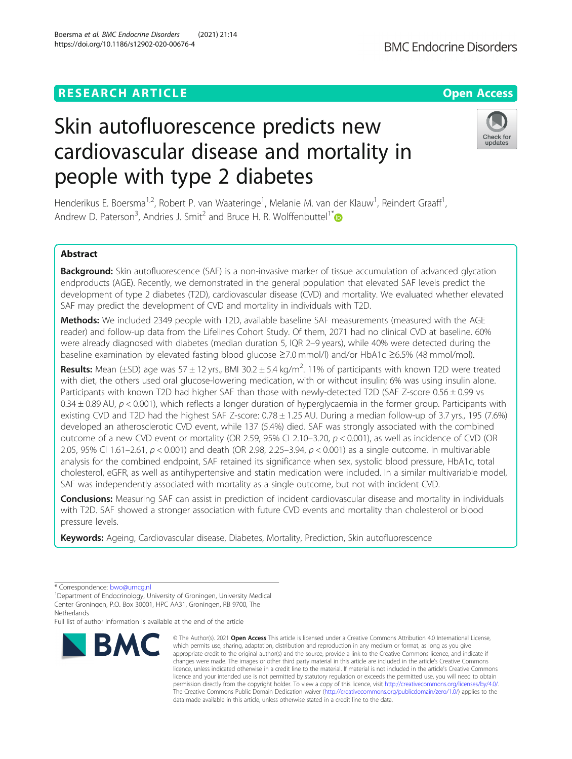## **RESEARCH ARTICLE Example 2014 12:30 The Contract of Contract ACCESS**

# Skin autofluorescence predicts new cardiovascular disease and mortality in people with type 2 diabetes

Henderikus E. Boersma<sup>1,2</sup>, Robert P. van Waateringe<sup>1</sup>, Melanie M. van der Klauw<sup>1</sup>, Reindert Graaff<sup>1</sup> , Andrew D. Paterson<sup>3</sup>, Andries J. Smit<sup>2</sup> and Bruce H. R. Wolffenbuttel<sup>1[\\*](http://orcid.org/0000-0001-9262-6921)</sup>

## Abstract

Background: Skin autofluorescence (SAF) is a non-invasive marker of tissue accumulation of advanced glycation endproducts (AGE). Recently, we demonstrated in the general population that elevated SAF levels predict the development of type 2 diabetes (T2D), cardiovascular disease (CVD) and mortality. We evaluated whether elevated SAF may predict the development of CVD and mortality in individuals with T2D.

Methods: We included 2349 people with T2D, available baseline SAF measurements (measured with the AGE reader) and follow-up data from the Lifelines Cohort Study. Of them, 2071 had no clinical CVD at baseline. 60% were already diagnosed with diabetes (median duration 5, IQR 2–9 years), while 40% were detected during the baseline examination by elevated fasting blood glucose ≥7.0 mmol/l) and/or HbA1c ≥6.5% (48 mmol/mol).

Results: Mean (±SD) age was 57 ± 12 yrs., BMI 30.2 ± 5.4 kg/m<sup>2</sup>. 11% of participants with known T2D were treated with diet, the others used oral glucose-lowering medication, with or without insulin; 6% was using insulin alone. Participants with known T2D had higher SAF than those with newly-detected T2D (SAF Z-score 0.56 ± 0.99 vs 0.34  $\pm$  0.89 AU,  $p$  < 0.001), which reflects a longer duration of hyperglycaemia in the former group. Participants with existing CVD and T2D had the highest SAF Z-score: 0.78 ± 1.25 AU. During a median follow-up of 3.7 yrs., 195 (7.6%) developed an atherosclerotic CVD event, while 137 (5.4%) died. SAF was strongly associated with the combined outcome of a new CVD event or mortality (OR 2.59, 95% CI 2.10–3.20,  $p < 0.001$ ), as well as incidence of CVD (OR 2.05, 95% CI 1.61–2.61,  $p < 0.001$ ) and death (OR 2.98, 2.25–3.94,  $p < 0.001$ ) as a single outcome. In multivariable analysis for the combined endpoint, SAF retained its significance when sex, systolic blood pressure, HbA1c, total cholesterol, eGFR, as well as antihypertensive and statin medication were included. In a similar multivariable model, SAF was independently associated with mortality as a single outcome, but not with incident CVD.

**Conclusions:** Measuring SAF can assist in prediction of incident cardiovascular disease and mortality in individuals with T2D. SAF showed a stronger association with future CVD events and mortality than cholesterol or blood pressure levels.

Keywords: Ageing, Cardiovascular disease, Diabetes, Mortality, Prediction, Skin autofluorescence

Full list of author information is available at the end of the article

**BMC** 

#### © The Author(s), 2021 **Open Access** This article is licensed under a Creative Commons Attribution 4.0 International License, which permits use, sharing, adaptation, distribution and reproduction in any medium or format, as long as you give appropriate credit to the original author(s) and the source, provide a link to the Creative Commons licence, and indicate if changes were made. The images or other third party material in this article are included in the article's Creative Commons licence, unless indicated otherwise in a credit line to the material. If material is not included in the article's Creative Commons licence and your intended use is not permitted by statutory regulation or exceeds the permitted use, you will need to obtain permission directly from the copyright holder. To view a copy of this licence, visit [http://creativecommons.org/licenses/by/4.0/.](http://creativecommons.org/licenses/by/4.0/) The Creative Commons Public Domain Dedication waiver [\(http://creativecommons.org/publicdomain/zero/1.0/](http://creativecommons.org/publicdomain/zero/1.0/)) applies to the data made available in this article, unless otherwise stated in a credit line to the data.





<sup>\*</sup> Correspondence: [bwo@umcg.nl](mailto:bwo@umcg.nl) <sup>1</sup>

<sup>&</sup>lt;sup>1</sup>Department of Endocrinology, University of Groningen, University Medical Center Groningen, P.O. Box 30001, HPC AA31, Groningen, RB 9700, The **Netherlands**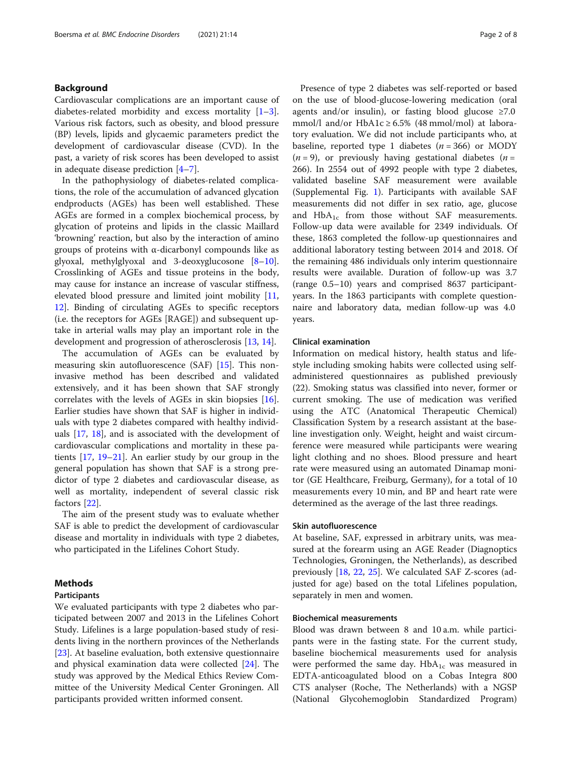## Background

Cardiovascular complications are an important cause of diabetes-related morbidity and excess mortality [\[1](#page-6-0)–[3](#page-6-0)]. Various risk factors, such as obesity, and blood pressure (BP) levels, lipids and glycaemic parameters predict the development of cardiovascular disease (CVD). In the past, a variety of risk scores has been developed to assist in adequate disease prediction [\[4](#page-6-0)–[7](#page-6-0)].

In the pathophysiology of diabetes-related complications, the role of the accumulation of advanced glycation endproducts (AGEs) has been well established. These AGEs are formed in a complex biochemical process, by glycation of proteins and lipids in the classic Maillard 'browning' reaction, but also by the interaction of amino groups of proteins with  $\alpha$ -dicarbonyl compounds like as glyoxal, methylglyoxal and 3-deoxyglucosone [[8](#page-6-0)–[10](#page-6-0)]. Crosslinking of AGEs and tissue proteins in the body, may cause for instance an increase of vascular stiffness, elevated blood pressure and limited joint mobility [[11](#page-6-0), [12\]](#page-6-0). Binding of circulating AGEs to specific receptors (i.e. the receptors for AGEs [RAGE]) and subsequent uptake in arterial walls may play an important role in the development and progression of atherosclerosis [[13,](#page-6-0) [14](#page-6-0)].

The accumulation of AGEs can be evaluated by measuring skin autofluorescence (SAF) [[15\]](#page-6-0). This noninvasive method has been described and validated extensively, and it has been shown that SAF strongly correlates with the levels of AGEs in skin biopsies [\[16](#page-7-0)]. Earlier studies have shown that SAF is higher in individuals with type 2 diabetes compared with healthy individuals [[17](#page-7-0), [18](#page-7-0)], and is associated with the development of cardiovascular complications and mortality in these patients  $[17, 19-21]$  $[17, 19-21]$  $[17, 19-21]$  $[17, 19-21]$  $[17, 19-21]$  $[17, 19-21]$ . An earlier study by our group in the general population has shown that SAF is a strong predictor of type 2 diabetes and cardiovascular disease, as well as mortality, independent of several classic risk factors [\[22\]](#page-7-0).

The aim of the present study was to evaluate whether SAF is able to predict the development of cardiovascular disease and mortality in individuals with type 2 diabetes, who participated in the Lifelines Cohort Study.

## Methods

#### Participants

We evaluated participants with type 2 diabetes who participated between 2007 and 2013 in the Lifelines Cohort Study. Lifelines is a large population-based study of residents living in the northern provinces of the Netherlands [[23\]](#page-7-0). At baseline evaluation, both extensive questionnaire and physical examination data were collected [\[24\]](#page-7-0). The study was approved by the Medical Ethics Review Committee of the University Medical Center Groningen. All participants provided written informed consent.

Presence of type 2 diabetes was self-reported or based on the use of blood-glucose-lowering medication (oral agents and/or insulin), or fasting blood glucose  $\geq 7.0$ mmol/l and/or  $HbA1c \geq 6.5\%$  (48 mmol/mol) at laboratory evaluation. We did not include participants who, at baseline, reported type 1 diabetes  $(n = 366)$  or MODY  $(n = 9)$ , or previously having gestational diabetes  $(n = 9)$ 266). In 2554 out of 4992 people with type 2 diabetes, validated baseline SAF measurement were available (Supplemental Fig. [1\)](#page-6-0). Participants with available SAF measurements did not differ in sex ratio, age, glucose and  $HbA_{1c}$  from those without SAF measurements. Follow-up data were available for 2349 individuals. Of these, 1863 completed the follow-up questionnaires and additional laboratory testing between 2014 and 2018. Of the remaining 486 individuals only interim questionnaire results were available. Duration of follow-up was 3.7 (range 0.5–10) years and comprised 8637 participantyears. In the 1863 participants with complete questionnaire and laboratory data, median follow-up was 4.0 years.

#### Clinical examination

Information on medical history, health status and lifestyle including smoking habits were collected using selfadministered questionnaires as published previously (22). Smoking status was classified into never, former or current smoking. The use of medication was verified using the ATC (Anatomical Therapeutic Chemical) Classification System by a research assistant at the baseline investigation only. Weight, height and waist circumference were measured while participants were wearing light clothing and no shoes. Blood pressure and heart rate were measured using an automated Dinamap monitor (GE Healthcare, Freiburg, Germany), for a total of 10 measurements every 10 min, and BP and heart rate were determined as the average of the last three readings.

#### Skin autofluorescence

At baseline, SAF, expressed in arbitrary units, was measured at the forearm using an AGE Reader (Diagnoptics Technologies, Groningen, the Netherlands), as described previously [[18,](#page-7-0) [22,](#page-7-0) [25](#page-7-0)]. We calculated SAF Z-scores (adjusted for age) based on the total Lifelines population, separately in men and women.

## Biochemical measurements

Blood was drawn between 8 and 10 a.m. while participants were in the fasting state. For the current study, baseline biochemical measurements used for analysis were performed the same day.  $HbA_{1c}$  was measured in EDTA-anticoagulated blood on a Cobas Integra 800 CTS analyser (Roche, The Netherlands) with a NGSP (National Glycohemoglobin Standardized Program)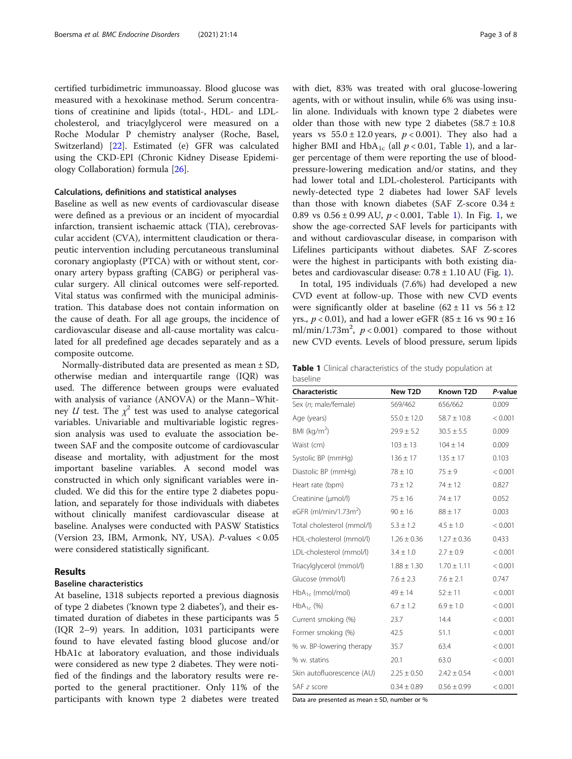certified turbidimetric immunoassay. Blood glucose was measured with a hexokinase method. Serum concentrations of creatinine and lipids (total-, HDL- and LDLcholesterol, and triacylglycerol were measured on a Roche Modular P chemistry analyser (Roche, Basel, Switzerland) [\[22\]](#page-7-0). Estimated (e) GFR was calculated using the CKD-EPI (Chronic Kidney Disease Epidemiology Collaboration) formula [[26\]](#page-7-0).

## Calculations, definitions and statistical analyses

Baseline as well as new events of cardiovascular disease were defined as a previous or an incident of myocardial infarction, transient ischaemic attack (TIA), cerebrovascular accident (CVA), intermittent claudication or therapeutic intervention including percutaneous transluminal coronary angioplasty (PTCA) with or without stent, coronary artery bypass grafting (CABG) or peripheral vascular surgery. All clinical outcomes were self-reported. Vital status was confirmed with the municipal administration. This database does not contain information on the cause of death. For all age groups, the incidence of cardiovascular disease and all-cause mortality was calculated for all predefined age decades separately and as a composite outcome.

Normally-distributed data are presented as mean ± SD, otherwise median and interquartile range (IQR) was used. The difference between groups were evaluated with analysis of variance (ANOVA) or the Mann–Whitney *U* test. The  $\chi^2$  test was used to analyse categorical variables. Univariable and multivariable logistic regression analysis was used to evaluate the association between SAF and the composite outcome of cardiovascular disease and mortality, with adjustment for the most important baseline variables. A second model was constructed in which only significant variables were included. We did this for the entire type 2 diabetes population, and separately for those individuals with diabetes without clinically manifest cardiovascular disease at baseline. Analyses were conducted with PASW Statistics (Version 23, IBM, Armonk, NY, USA). P-values < 0.05 were considered statistically significant.

## Results

## Baseline characteristics

At baseline, 1318 subjects reported a previous diagnosis of type 2 diabetes ('known type 2 diabetes'), and their estimated duration of diabetes in these participants was 5 (IQR 2–9) years. In addition, 1031 participants were found to have elevated fasting blood glucose and/or HbA1c at laboratory evaluation, and those individuals were considered as new type 2 diabetes. They were notified of the findings and the laboratory results were reported to the general practitioner. Only 11% of the participants with known type 2 diabetes were treated with diet, 83% was treated with oral glucose-lowering agents, with or without insulin, while 6% was using insulin alone. Individuals with known type 2 diabetes were older than those with new type 2 diabetes  $(58.7 \pm 10.8)$ years vs  $55.0 \pm 12.0$  years,  $p < 0.001$ ). They also had a higher BMI and HbA<sub>1c</sub> (all  $p < 0.01$ , Table 1), and a larger percentage of them were reporting the use of bloodpressure-lowering medication and/or statins, and they had lower total and LDL-cholesterol. Participants with newly-detected type 2 diabetes had lower SAF levels than those with known diabetes (SAF Z-score  $0.34 \pm$ 0.89 vs  $0.56 \pm 0.99$  AU,  $p < 0.001$  $p < 0.001$ , Table 1). In Fig. 1, we show the age-corrected SAF levels for participants with and without cardiovascular disease, in comparison with Lifelines participants without diabetes. SAF Z-scores were the highest in participants with both existing diabetes and cardiovascular disease:  $0.78 \pm 1.10$  $0.78 \pm 1.10$  $0.78 \pm 1.10$  AU (Fig. 1).

In total, 195 individuals (7.6%) had developed a new CVD event at follow-up. Those with new CVD events were significantly older at baseline  $(62 \pm 11 \text{ vs } 56 \pm 12$ yrs.,  $p < 0.01$ ), and had a lower eGFR (85 ± 16 vs 90 ± 16 ml/min/1.73m<sup>2</sup>,  $p < 0.001$ ) compared to those without new CVD events. Levels of blood pressure, serum lipids

Table 1 Clinical characteristics of the study population at baseline

| Characteristic                    | New T2D         | Known T2D       | P-value |
|-----------------------------------|-----------------|-----------------|---------|
| Sex (n; male/female)              | 569/462         | 656/662         | 0.009   |
| Age (years)                       | $55.0 \pm 12.0$ | $58.7 \pm 10.8$ | < 0.001 |
| BMI ( $kg/m2$ )                   | $29.9 \pm 5.2$  | $30.5 \pm 5.5$  | 0.009   |
| Waist (cm)                        | $103 \pm 13$    | $104 \pm 14$    | 0.009   |
| Systolic BP (mmHq)                | $136 \pm 17$    | $135 \pm 17$    | 0.103   |
| Diastolic BP (mmHg)               | $78 \pm 10$     | $75 \pm 9$      | < 0.001 |
| Heart rate (bpm)                  | $73 \pm 12$     | $74 \pm 12$     | 0.827   |
| Creatinine (µmol/l)               | $75 \pm 16$     | $74 \pm 17$     | 0.052   |
| eGFR (ml/min/1.73m <sup>2</sup> ) | $90 \pm 16$     | $88 \pm 17$     | 0.003   |
| Total cholesterol (mmol/l)        | $5.3 \pm 1.2$   | $4.5 \pm 1.0$   | < 0.001 |
| HDL-cholesterol (mmol/l)          | $1.26 \pm 0.36$ | $1.27 \pm 0.36$ | 0.433   |
| LDL-cholesterol (mmol/l)          | $3.4 \pm 1.0$   | $2.7 \pm 0.9$   | < 0.001 |
| Triacylglycerol (mmol/l)          | $1.88 \pm 1.30$ | $1.70 \pm 1.11$ | < 0.001 |
| Glucose (mmol/l)                  | $7.6 \pm 2.3$   | $7.6 \pm 2.1$   | 0.747   |
| $HbA_{1c}$ (mmol/mol)             | $49 \pm 14$     | $52 \pm 11$     | < 0.001 |
| $HbA_{1c}$ (%)                    | $6.7 \pm 1.2$   | $6.9 \pm 1.0$   | < 0.001 |
| Current smoking (%)               | 23.7            | 14.4            | < 0.001 |
| Former smoking (%)                | 42.5            | 51.1            | < 0.001 |
| % w. BP-lowering therapy          | 35.7            | 63.4            | < 0.001 |
| % w. statins                      | 20.1            | 63.0            | < 0.001 |
| Skin autofluorescence (AU)        | $2.25 \pm 0.50$ | $2.42 \pm 0.54$ | < 0.001 |
| SAF z score                       | $0.34 \pm 0.89$ | $0.56 \pm 0.99$ | < 0.001 |

Data are presented as mean ± SD, number or %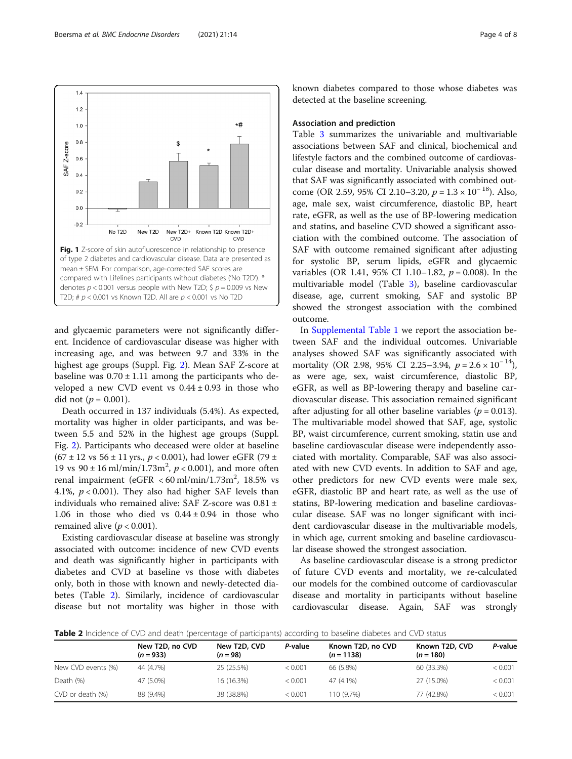and glycaemic parameters were not significantly different. Incidence of cardiovascular disease was higher with increasing age, and was between 9.7 and 33% in the highest age groups (Suppl. Fig. [2](#page-6-0)). Mean SAF Z-score at baseline was  $0.70 \pm 1.11$  among the participants who developed a new CVD event vs  $0.44 \pm 0.93$  in those who did not ( $p = 0.001$ ).

Fig. 1 Z-score of skin autofluorescence in relationship to presence of type 2 diabetes and cardiovascular disease. Data are presented as mean ± SEM. For comparison, age-corrected SAF scores are compared with Lifelines participants without diabetes ('No T2D'). \* denotes  $p < 0.001$  versus people with New T2D; \$  $p = 0.009$  vs New T2D; #  $p$  < 0.001 vs Known T2D. All are  $p$  < 0.001 vs No T2D

CVD

New T2D+ Known T2D Known T2D+

CVD

New T2D

No T<sub>2</sub>D

Death occurred in 137 individuals (5.4%). As expected, mortality was higher in older participants, and was between 5.5 and 52% in the highest age groups (Suppl. Fig. [2](#page-6-0)). Participants who deceased were older at baseline  $(67 \pm 12 \text{ vs } 56 \pm 11 \text{ yrs.}, p < 0.001)$ , had lower eGFR (79 ± 19 vs  $90 \pm 16 \text{ ml/min}/1.73 \text{ m}^2$ ,  $p < 0.001$ ), and more often renal impairment (eGFR < 60 ml/min/1.73m<sup>2</sup>, 18.5% vs 4.1%,  $p < 0.001$ ). They also had higher SAF levels than individuals who remained alive: SAF Z-score was 0.81 ± 1.06 in those who died vs  $0.44 \pm 0.94$  in those who remained alive ( $p < 0.001$ ).

Existing cardiovascular disease at baseline was strongly associated with outcome: incidence of new CVD events and death was significantly higher in participants with diabetes and CVD at baseline vs those with diabetes only, both in those with known and newly-detected diabetes (Table 2). Similarly, incidence of cardiovascular disease but not mortality was higher in those with known diabetes compared to those whose diabetes was detected at the baseline screening.

## Association and prediction

Table [3](#page-4-0) summarizes the univariable and multivariable associations between SAF and clinical, biochemical and lifestyle factors and the combined outcome of cardiovascular disease and mortality. Univariable analysis showed that SAF was significantly associated with combined outcome (OR 2.59, 95% CI 2.10–3.20,  $p = 1.3 \times 10^{-18}$ ). Also, age, male sex, waist circumference, diastolic BP, heart rate, eGFR, as well as the use of BP-lowering medication and statins, and baseline CVD showed a significant association with the combined outcome. The association of SAF with outcome remained significant after adjusting for systolic BP, serum lipids, eGFR and glycaemic variables (OR 1.41, 95% CI 1.10–1.82,  $p = 0.008$ ). In the multivariable model (Table [3](#page-4-0)), baseline cardiovascular disease, age, current smoking, SAF and systolic BP showed the strongest association with the combined outcome.

In [Supplemental Table 1](#page-6-0) we report the association between SAF and the individual outcomes. Univariable analyses showed SAF was significantly associated with mortality (OR 2.98, 95% CI 2.25–3.94,  $p = 2.6 \times 10^{-14}$ ), as were age, sex, waist circumference, diastolic BP, eGFR, as well as BP-lowering therapy and baseline cardiovascular disease. This association remained significant after adjusting for all other baseline variables ( $p = 0.013$ ). The multivariable model showed that SAF, age, systolic BP, waist circumference, current smoking, statin use and baseline cardiovascular disease were independently associated with mortality. Comparable, SAF was also associated with new CVD events. In addition to SAF and age, other predictors for new CVD events were male sex, eGFR, diastolic BP and heart rate, as well as the use of statins, BP-lowering medication and baseline cardiovascular disease. SAF was no longer significant with incident cardiovascular disease in the multivariable models, in which age, current smoking and baseline cardiovascular disease showed the strongest association.

As baseline cardiovascular disease is a strong predictor of future CVD events and mortality, we re-calculated our models for the combined outcome of cardiovascular disease and mortality in participants without baseline cardiovascular disease. Again, SAF was strongly

**Table 2** Incidence of CVD and death (percentage of participants) according to baseline diabetes and CVD status

|                    | New T2D, no CVD<br>$(n = 933)$ | New T2D, CVD<br>$(n = 98)$ | P-value | <b>TWEE</b> including the distribution additional contrade or participants) according to basemic diabetes and crisis status<br>Known T2D, no CVD<br>$(n = 1138)$ | Known T2D, CVD<br>$(n = 180)$ | P-value |
|--------------------|--------------------------------|----------------------------|---------|------------------------------------------------------------------------------------------------------------------------------------------------------------------|-------------------------------|---------|
| New CVD events (%) | 44 (4.7%)                      | 25 (25.5%)                 | < 0.001 | 66 (5.8%)                                                                                                                                                        | 60 (33.3%)                    | < 0.001 |
| Death (%)          | 47 (5.0%)                      | 16 (16.3%)                 | < 0.001 | 47 (4.1%)                                                                                                                                                        | 27 (15.0%)                    | < 0.001 |
| CVD or death (%)   | 88 (9.4%)                      | 38 (38.8%)                 | < 0.001 | 110 (9.7%)                                                                                                                                                       | 77 (42.8%)                    | < 0.001 |

<span id="page-3-0"></span> $1.4$  $1.2$ \*#  $1.0$  $0.8$ \$ SAF Z-score

 $0.6$  $0.4$  $0.2$  $0.0$  $-0.2$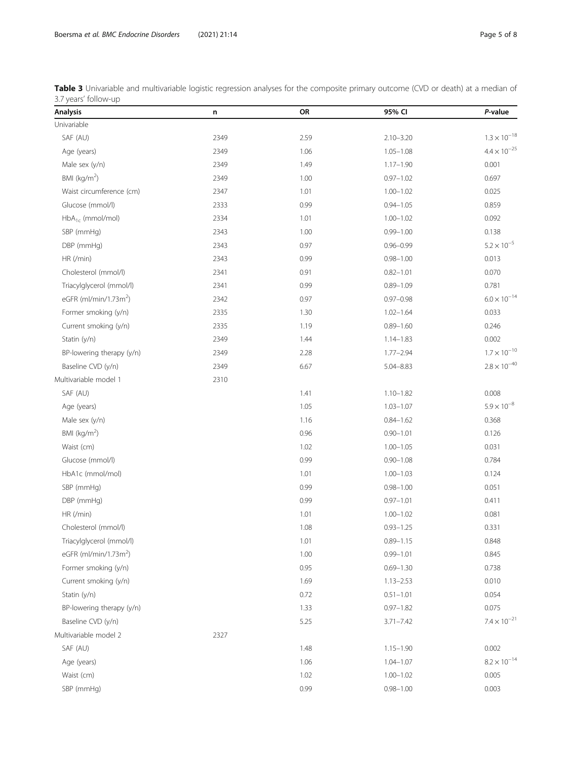<span id="page-4-0"></span>Boersma et al. BMC Endocrine Disorders (2021) 21:14 Page 5 of 8

| Table 3 Univariable and multivariable logistic regression analyses for the composite primary outcome (CVD or death) at a median of |  |  |  |  |
|------------------------------------------------------------------------------------------------------------------------------------|--|--|--|--|
| 3.7 years' follow-up                                                                                                               |  |  |  |  |

| <b>Analysis</b>                   | n    | OR   | 95% CI        | P-value               |
|-----------------------------------|------|------|---------------|-----------------------|
| Univariable                       |      |      |               |                       |
| SAF (AU)                          | 2349 | 2.59 | $2.10 - 3.20$ | $1.3 \times 10^{-18}$ |
| Age (years)                       | 2349 | 1.06 | $1.05 - 1.08$ | $4.4 \times 10^{-25}$ |
| Male sex (y/n)                    | 2349 | 1.49 | $1.17 - 1.90$ | 0.001                 |
| BMI ( $kg/m2$ )                   | 2349 | 1.00 | $0.97 - 1.02$ | 0.697                 |
| Waist circumference (cm)          | 2347 | 1.01 | $1.00 - 1.02$ | 0.025                 |
| Glucose (mmol/l)                  | 2333 | 0.99 | $0.94 - 1.05$ | 0.859                 |
| $HbA_{1c}$ (mmol/mol)             | 2334 | 1.01 | $1.00 - 1.02$ | 0.092                 |
| SBP (mmHg)                        | 2343 | 1.00 | $0.99 - 1.00$ | 0.138                 |
| DBP (mmHg)                        | 2343 | 0.97 | $0.96 - 0.99$ | $5.2 \times 10^{-5}$  |
| HR (/min)                         | 2343 | 0.99 | $0.98 - 1.00$ | 0.013                 |
| Cholesterol (mmol/l)              | 2341 | 0.91 | $0.82 - 1.01$ | 0.070                 |
| Triacylglycerol (mmol/l)          | 2341 | 0.99 | $0.89 - 1.09$ | 0.781                 |
| eGFR (ml/min/1.73m <sup>2</sup> ) | 2342 | 0.97 | $0.97 - 0.98$ | $6.0 \times 10^{-14}$ |
| Former smoking (y/n)              | 2335 | 1.30 | $1.02 - 1.64$ | 0.033                 |
| Current smoking (y/n)             | 2335 | 1.19 | $0.89 - 1.60$ | 0.246                 |
| Statin (y/n)                      | 2349 | 1.44 | $1.14 - 1.83$ | 0.002                 |
| BP-lowering therapy (y/n)         | 2349 | 2.28 | $1.77 - 2.94$ | $1.7 \times 10^{-10}$ |
| Baseline CVD (y/n)                | 2349 | 6.67 | $5.04 - 8.83$ | $2.8 \times 10^{-40}$ |
| Multivariable model 1             | 2310 |      |               |                       |
| SAF (AU)                          |      | 1.41 | $1.10 - 1.82$ | 0.008                 |
| Age (years)                       |      | 1.05 | $1.03 - 1.07$ | $5.9 \times 10^{-8}$  |
| Male sex (y/n)                    |      | 1.16 | $0.84 - 1.62$ | 0.368                 |
| BMI ( $kg/m2$ )                   |      | 0.96 | $0.90 - 1.01$ | 0.126                 |
| Waist (cm)                        |      | 1.02 | $1.00 - 1.05$ | 0.031                 |
| Glucose (mmol/l)                  |      | 0.99 | $0.90 - 1.08$ | 0.784                 |
| HbA1c (mmol/mol)                  |      | 1.01 | $1.00 - 1.03$ | 0.124                 |
| SBP (mmHg)                        |      | 0.99 | $0.98 - 1.00$ | 0.051                 |
| DBP (mmHg)                        |      | 0.99 | $0.97 - 1.01$ | 0.411                 |
| HR (/min)                         |      | 1.01 | $1.00 - 1.02$ | 0.081                 |
| Cholesterol (mmol/l)              |      | 1.08 | $0.93 - 1.25$ | 0.331                 |
| Triacylglycerol (mmol/l)          |      | 1.01 | $0.89 - 1.15$ | 0.848                 |
| eGFR (ml/min/1.73m <sup>2</sup> ) |      | 1.00 | $0.99 - 1.01$ | 0.845                 |
| Former smoking (y/n)              |      | 0.95 | $0.69 - 1.30$ | 0.738                 |
| Current smoking (y/n)             |      | 1.69 | $1.13 - 2.53$ | 0.010                 |
| Statin (y/n)                      |      | 0.72 | $0.51 - 1.01$ | 0.054                 |
| BP-lowering therapy (y/n)         |      | 1.33 | $0.97 - 1.82$ | 0.075                 |
| Baseline CVD (y/n)                |      | 5.25 | $3.71 - 7.42$ | $7.4 \times 10^{-21}$ |
| Multivariable model 2             | 2327 |      |               |                       |
| SAF (AU)                          |      | 1.48 | $1.15 - 1.90$ | 0.002                 |
| Age (years)                       |      | 1.06 | $1.04 - 1.07$ | $8.2 \times 10^{-14}$ |
| Waist (cm)                        |      | 1.02 | $1.00 - 1.02$ | 0.005                 |
| SBP (mmHg)                        |      | 0.99 | $0.98 - 1.00$ | 0.003                 |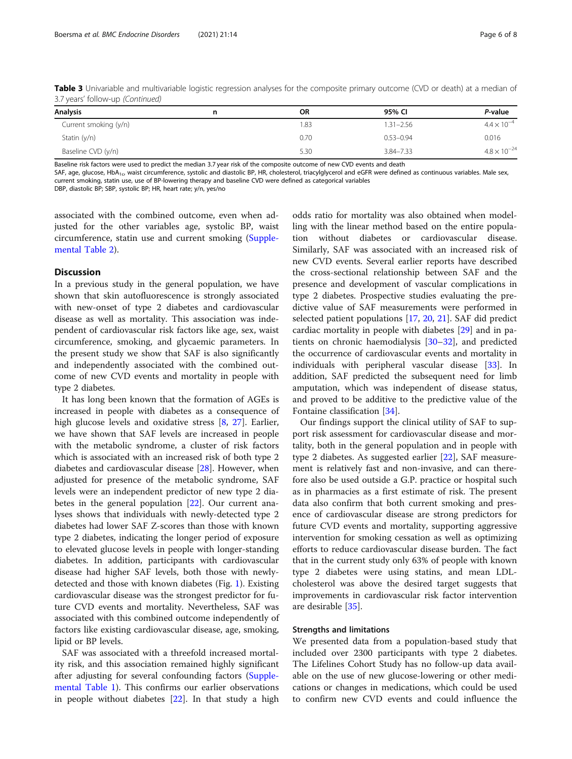Table 3 Univariable and multivariable logistic regression analyses for the composite primary outcome (CVD or death) at a median of 3.7 years' follow-up (Continued)

| <b>Analysis</b>       | n | <b>OR</b> | 95% CI        | P-value               |  |
|-----------------------|---|-----------|---------------|-----------------------|--|
| Current smoking (y/n) |   | 1.83      | $1.31 - 2.56$ | $4.4 \times 10^{-4}$  |  |
| Statin $(y/n)$        |   | 0.70      | $0.53 - 0.94$ | 0.016                 |  |
| Baseline CVD (y/n)    |   | 5.30      | $3.84 - 7.33$ | $4.8 \times 10^{-24}$ |  |

Baseline risk factors were used to predict the median 3.7 year risk of the composite outcome of new CVD events and death

SAF, age, glucose, HbA<sub>1c</sub>, waist circumference, systolic and diastolic BP, HR, cholesterol, triacylglycerol and eGFR were defined as continuous variables. Male sex, current smoking, statin use, use of BP-lowering therapy and baseline CVD were defined as categorical variables

DBP, diastolic BP; SBP, systolic BP; HR, heart rate; y/n, yes/no

associated with the combined outcome, even when adjusted for the other variables age, systolic BP, waist circumference, statin use and current smoking [\(Supple](#page-6-0)[mental Table 2\)](#page-6-0).

## **Discussion**

In a previous study in the general population, we have shown that skin autofluorescence is strongly associated with new-onset of type 2 diabetes and cardiovascular disease as well as mortality. This association was independent of cardiovascular risk factors like age, sex, waist circumference, smoking, and glycaemic parameters. In the present study we show that SAF is also significantly and independently associated with the combined outcome of new CVD events and mortality in people with type 2 diabetes.

It has long been known that the formation of AGEs is increased in people with diabetes as a consequence of high glucose levels and oxidative stress [[8,](#page-6-0) [27\]](#page-7-0). Earlier, we have shown that SAF levels are increased in people with the metabolic syndrome, a cluster of risk factors which is associated with an increased risk of both type 2 diabetes and cardiovascular disease [\[28\]](#page-7-0). However, when adjusted for presence of the metabolic syndrome, SAF levels were an independent predictor of new type 2 diabetes in the general population [[22](#page-7-0)]. Our current analyses shows that individuals with newly-detected type 2 diabetes had lower SAF Z-scores than those with known type 2 diabetes, indicating the longer period of exposure to elevated glucose levels in people with longer-standing diabetes. In addition, participants with cardiovascular disease had higher SAF levels, both those with newlydetected and those with known diabetes (Fig. [1\)](#page-3-0). Existing cardiovascular disease was the strongest predictor for future CVD events and mortality. Nevertheless, SAF was associated with this combined outcome independently of factors like existing cardiovascular disease, age, smoking, lipid or BP levels.

SAF was associated with a threefold increased mortality risk, and this association remained highly significant after adjusting for several confounding factors [\(Supple](#page-6-0)[mental Table 1\)](#page-6-0). This confirms our earlier observations in people without diabetes [\[22](#page-7-0)]. In that study a high

odds ratio for mortality was also obtained when modelling with the linear method based on the entire population without diabetes or cardiovascular disease. Similarly, SAF was associated with an increased risk of new CVD events. Several earlier reports have described the cross-sectional relationship between SAF and the presence and development of vascular complications in type 2 diabetes. Prospective studies evaluating the predictive value of SAF measurements were performed in selected patient populations [[17](#page-7-0), [20](#page-7-0), [21](#page-7-0)]. SAF did predict cardiac mortality in people with diabetes [[29](#page-7-0)] and in patients on chronic haemodialysis [[30](#page-7-0)–[32](#page-7-0)], and predicted the occurrence of cardiovascular events and mortality in individuals with peripheral vascular disease [[33\]](#page-7-0). In addition, SAF predicted the subsequent need for limb amputation, which was independent of disease status, and proved to be additive to the predictive value of the Fontaine classification [\[34](#page-7-0)].

Our findings support the clinical utility of SAF to support risk assessment for cardiovascular disease and mortality, both in the general population and in people with type 2 diabetes. As suggested earlier [[22\]](#page-7-0), SAF measurement is relatively fast and non-invasive, and can therefore also be used outside a G.P. practice or hospital such as in pharmacies as a first estimate of risk. The present data also confirm that both current smoking and presence of cardiovascular disease are strong predictors for future CVD events and mortality, supporting aggressive intervention for smoking cessation as well as optimizing efforts to reduce cardiovascular disease burden. The fact that in the current study only 63% of people with known type 2 diabetes were using statins, and mean LDLcholesterol was above the desired target suggests that improvements in cardiovascular risk factor intervention are desirable [\[35](#page-7-0)].

#### Strengths and limitations

We presented data from a population-based study that included over 2300 participants with type 2 diabetes. The Lifelines Cohort Study has no follow-up data available on the use of new glucose-lowering or other medications or changes in medications, which could be used to confirm new CVD events and could influence the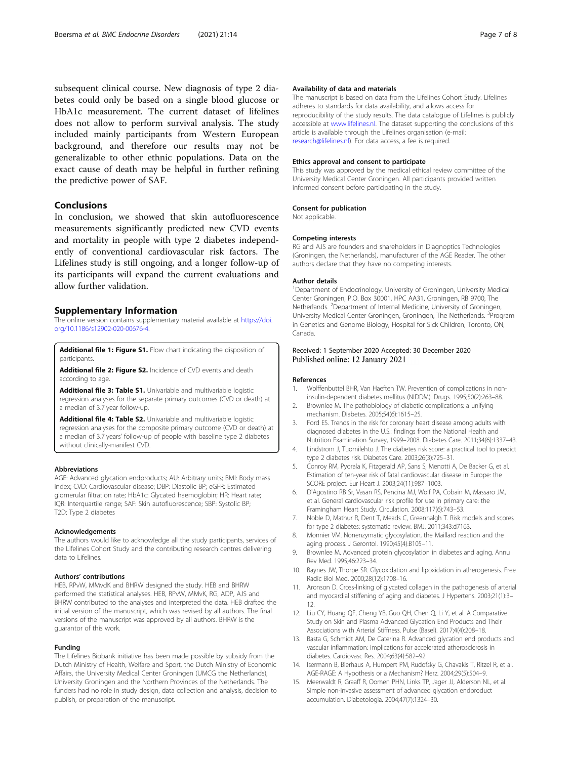<span id="page-6-0"></span>subsequent clinical course. New diagnosis of type 2 diabetes could only be based on a single blood glucose or HbA1c measurement. The current dataset of lifelines does not allow to perform survival analysis. The study included mainly participants from Western European background, and therefore our results may not be generalizable to other ethnic populations. Data on the exact cause of death may be helpful in further refining the predictive power of SAF.

## Conclusions

In conclusion, we showed that skin autofluorescence measurements significantly predicted new CVD events and mortality in people with type 2 diabetes independently of conventional cardiovascular risk factors. The Lifelines study is still ongoing, and a longer follow-up of its participants will expand the current evaluations and allow further validation.

#### Supplementary Information

The online version contains supplementary material available at [https://doi.](https://doi.org/10.1186/s12902-020-00676-4) [org/10.1186/s12902-020-00676-4.](https://doi.org/10.1186/s12902-020-00676-4)

Additional file 1: Figure S1. Flow chart indicating the disposition of participants.

Additional file 2: Figure S2. Incidence of CVD events and death according to age

Additional file 3: Table S1. Univariable and multivariable logistic regression analyses for the separate primary outcomes (CVD or death) at a median of 3.7 year follow-up.

Additional file 4: Table S2. Univariable and multivariable logistic regression analyses for the composite primary outcome (CVD or death) at a median of 3.7 years' follow-up of people with baseline type 2 diabetes without clinically-manifest CVD.

#### Abbreviations

AGE: Advanced glycation endproducts; AU: Arbitrary units; BMI: Body mass index; CVD: Cardiovascular disease; DBP: Diastolic BP; eGFR: Estimated glomerular filtration rate; HbA1c: Glycated haemoglobin; HR: Heart rate; IQR: Interquartile range; SAF: Skin autofluorescence; SBP: Systolic BP; T2D: Type 2 diabetes

#### Acknowledgements

The authors would like to acknowledge all the study participants, services of the Lifelines Cohort Study and the contributing research centres delivering data to Lifelines.

#### Authors' contributions

HEB, RPvW, MMvdK and BHRW designed the study. HEB and BHRW performed the statistical analyses. HEB, RPvW, MMvK, RG, ADP, AJS and BHRW contributed to the analyses and interpreted the data. HEB drafted the initial version of the manuscript, which was revised by all authors. The final versions of the manuscript was approved by all authors. BHRW is the guarantor of this work.

## Funding

The Lifelines Biobank initiative has been made possible by subsidy from the Dutch Ministry of Health, Welfare and Sport, the Dutch Ministry of Economic Affairs, the University Medical Center Groningen (UMCG the Netherlands), University Groningen and the Northern Provinces of the Netherlands. The funders had no role in study design, data collection and analysis, decision to publish, or preparation of the manuscript.

#### Availability of data and materials

The manuscript is based on data from the Lifelines Cohort Study. Lifelines adheres to standards for data availability, and allows access for reproducibility of the study results. The data catalogue of Lifelines is publicly accessible at [www.lifelines.nl](http://www.lifelines.nl). The dataset supporting the conclusions of this article is available through the Lifelines organisation (e-mail: [research@lifelines.nl\)](mailto:research@lifelines.nl). For data access, a fee is required.

#### Ethics approval and consent to participate

This study was approved by the medical ethical review committee of the University Medical Center Groningen. All participants provided written informed consent before participating in the study.

#### Consent for publication

Not applicable.

#### Competing interests

RG and AJS are founders and shareholders in Diagnoptics Technologies (Groningen, the Netherlands), manufacturer of the AGE Reader. The other authors declare that they have no competing interests.

#### Author details

<sup>1</sup>Department of Endocrinology, University of Groningen, University Medical Center Groningen, P.O. Box 30001, HPC AA31, Groningen, RB 9700, The Netherlands. <sup>2</sup>Department of Internal Medicine, University of Groningen University Medical Center Groningen, Groningen, The Netherlands. <sup>3</sup> Program in Genetics and Genome Biology, Hospital for Sick Children, Toronto, ON, Canada.

## Received: 1 September 2020 Accepted: 30 December 2020 Published online: 12 January 2021

#### References

- 1. Wolffenbuttel BHR, Van Haeften TW. Prevention of complications in noninsulin-dependent diabetes mellitus (NIDDM). Drugs. 1995;50(2):263–88.
- 2. Brownlee M. The pathobiology of diabetic complications: a unifying mechanism. Diabetes. 2005;54(6):1615–25.
- 3. Ford ES. Trends in the risk for coronary heart disease among adults with diagnosed diabetes in the U.S.: findings from the National Health and Nutrition Examination Survey, 1999–2008. Diabetes Care. 2011;34(6):1337–43.
- 4. Lindstrom J, Tuomilehto J. The diabetes risk score: a practical tool to predict type 2 diabetes risk. Diabetes Care. 2003;26(3):725–31.
- 5. Conroy RM, Pyorala K, Fitzgerald AP, Sans S, Menotti A, De Backer G, et al. Estimation of ten-year risk of fatal cardiovascular disease in Europe: the SCORE project. Eur Heart J. 2003;24(11):987–1003.
- 6. D'Agostino RB Sr, Vasan RS, Pencina MJ, Wolf PA, Cobain M, Massaro JM, et al. General cardiovascular risk profile for use in primary care: the Framingham Heart Study. Circulation. 2008;117(6):743–53.
- 7. Noble D, Mathur R, Dent T, Meads C, Greenhalgh T. Risk models and scores for type 2 diabetes: systematic review. BMJ. 2011;343:d7163.
- 8. Monnier VM. Nonenzymatic glycosylation, the Maillard reaction and the aging process. J Gerontol. 1990;45(4):B105–11.
- 9. Brownlee M. Advanced protein glycosylation in diabetes and aging. Annu Rev Med. 1995;46:223–34.
- 10. Baynes JW, Thorpe SR. Glycoxidation and lipoxidation in atherogenesis. Free Radic Biol Med. 2000;28(12):1708–16.
- 11. Aronson D. Cross-linking of glycated collagen in the pathogenesis of arterial and myocardial stiffening of aging and diabetes. J Hypertens. 2003;21(1):3– 12.
- 12. Liu CY, Huang QF, Cheng YB, Guo QH, Chen Q, Li Y, et al. A Comparative Study on Skin and Plasma Advanced Glycation End Products and Their Associations with Arterial Stiffness. Pulse (Basel). 2017;4(4):208–18.
- 13. Basta G, Schmidt AM, De Caterina R. Advanced glycation end products and vascular inflammation: implications for accelerated atherosclerosis in diabetes. Cardiovasc Res. 2004;63(4):582–92.
- 14. Isermann B, Bierhaus A, Humpert PM, Rudofsky G, Chavakis T, Ritzel R, et al. AGE-RAGE: A Hypothesis or a Mechanism? Herz. 2004;29(5):504–9.
- 15. Meerwaldt R, Graaff R, Oomen PHN, Links TP, Jager JJ, Alderson NL, et al. Simple non-invasive assessment of advanced glycation endproduct accumulation. Diabetologia. 2004;47(7):1324–30.